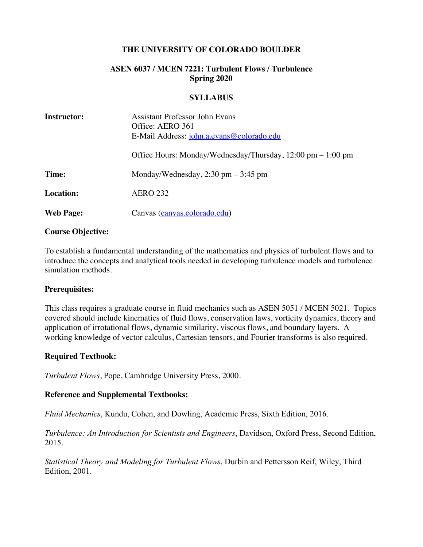### **THE UNIVERSITY OF COLORADO BOULDER**

# **ASEN 6037 / MCEN 7221: Turbulent Flows / Turbulence Spring 2020**

#### **SYLLABUS**

| <b>Instructor:</b> | <b>Assistant Professor John Evans</b><br>Office: AERO 361<br>E-Mail Address: john.a.evans@colorado.edu |
|--------------------|--------------------------------------------------------------------------------------------------------|
|                    | Office Hours: Monday/Wednesday/Thursday, 12:00 pm – 1:00 pm                                            |
| Time:              | Monday/Wednesday, $2:30$ pm $-3:45$ pm                                                                 |
| <b>Location:</b>   | <b>AERO 232</b>                                                                                        |
| <b>Web Page:</b>   | Canvas (canvas.colorado.edu)                                                                           |

#### **Course Objective:**

To establish a fundamental understanding of the mathematics and physics of turbulent flows and to introduce the concepts and analytical tools needed in developing turbulence models and turbulence simulation methods.

#### **Prerequisites:**

This class requires a graduate course in fluid mechanics such as ASEN 5051 / MCEN 5021. Topics covered should include kinematics of fluid flows, conservation laws, vorticity dynamics, theory and application of irrotational flows, dynamic similarity, viscous flows, and boundary layers. A working knowledge of vector calculus, Cartesian tensors, and Fourier transforms is also required.

### **Required Textbook:**

*Turbulent Flows*, Pope, Cambridge University Press, 2000.

### **Reference and Supplemental Textbooks:**

*Fluid Mechanics*, Kundu, Cohen, and Dowling, Academic Press, Sixth Edition, 2016.

*Turbulence: An Introduction for Scientists and Engineers*, Davidson, Oxford Press, Second Edition, 2015.

*Statistical Theory and Modeling for Turbulent Flows*, Durbin and Pettersson Reif, Wiley, Third Edition, 2001.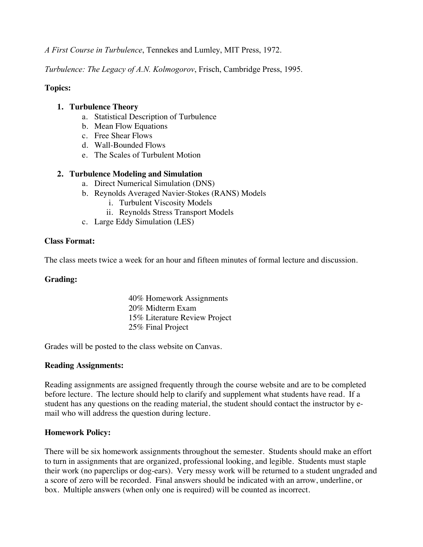*A First Course in Turbulence*, Tennekes and Lumley, MIT Press, 1972.

*Turbulence: The Legacy of A.N. Kolmogorov*, Frisch, Cambridge Press, 1995.

# **Topics:**

### **1. Turbulence Theory**

- a. Statistical Description of Turbulence
- b. Mean Flow Equations
- c. Free Shear Flows
- d. Wall-Bounded Flows
- e. The Scales of Turbulent Motion

### **2. Turbulence Modeling and Simulation**

- a. Direct Numerical Simulation (DNS)
- b. Reynolds Averaged Navier-Stokes (RANS) Models
	- i. Turbulent Viscosity Models
	- ii. Reynolds Stress Transport Models
- c. Large Eddy Simulation (LES)

### **Class Format:**

The class meets twice a week for an hour and fifteen minutes of formal lecture and discussion.

### **Grading:**

40% Homework Assignments 20% Midterm Exam 15% Literature Review Project 25% Final Project

Grades will be posted to the class website on Canvas.

### **Reading Assignments:**

Reading assignments are assigned frequently through the course website and are to be completed before lecture. The lecture should help to clarify and supplement what students have read. If a student has any questions on the reading material, the student should contact the instructor by email who will address the question during lecture.

# **Homework Policy:**

There will be six homework assignments throughout the semester. Students should make an effort to turn in assignments that are organized, professional looking, and legible. Students must staple their work (no paperclips or dog-ears). Very messy work will be returned to a student ungraded and a score of zero will be recorded. Final answers should be indicated with an arrow, underline, or box. Multiple answers (when only one is required) will be counted as incorrect.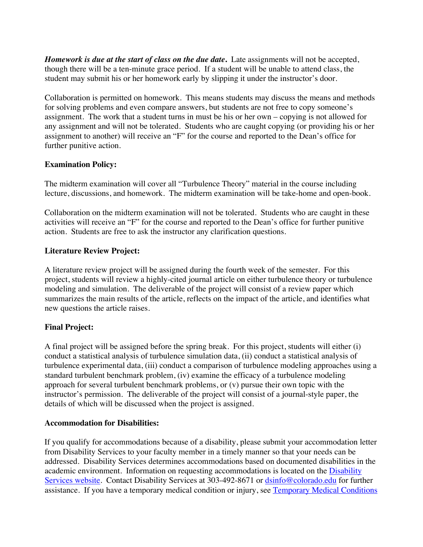*Homework is due at the start of class on the due date***.** Late assignments will not be accepted, though there will be a ten-minute grace period. If a student will be unable to attend class, the student may submit his or her homework early by slipping it under the instructor's door.

Collaboration is permitted on homework. This means students may discuss the means and methods for solving problems and even compare answers, but students are not free to copy someone's assignment. The work that a student turns in must be his or her own – copying is not allowed for any assignment and will not be tolerated. Students who are caught copying (or providing his or her assignment to another) will receive an "F" for the course and reported to the Dean's office for further punitive action.

# **Examination Policy:**

The midterm examination will cover all "Turbulence Theory" material in the course including lecture, discussions, and homework. The midterm examination will be take-home and open-book.

Collaboration on the midterm examination will not be tolerated. Students who are caught in these activities will receive an "F" for the course and reported to the Dean's office for further punitive action. Students are free to ask the instructor any clarification questions.

# **Literature Review Project:**

A literature review project will be assigned during the fourth week of the semester. For this project, students will review a highly-cited journal article on either turbulence theory or turbulence modeling and simulation. The deliverable of the project will consist of a review paper which summarizes the main results of the article, reflects on the impact of the article, and identifies what new questions the article raises.

# **Final Project:**

A final project will be assigned before the spring break. For this project, students will either (i) conduct a statistical analysis of turbulence simulation data, (ii) conduct a statistical analysis of turbulence experimental data, (iii) conduct a comparison of turbulence modeling approaches using a standard turbulent benchmark problem, (iv) examine the efficacy of a turbulence modeling approach for several turbulent benchmark problems, or (v) pursue their own topic with the instructor's permission. The deliverable of the project will consist of a journal-style paper, the details of which will be discussed when the project is assigned.

### **Accommodation for Disabilities:**

If you qualify for accommodations because of a disability, please submit your accommodation letter from Disability Services to your faculty member in a timely manner so that your needs can be addressed. Disability Services determines accommodations based on documented disabilities in the academic environment. Information on requesting accommodations is located on the Disability Services website. Contact Disability Services at 303-492-8671 or dsinfo@colorado.edu for further assistance. If you have a temporary medical condition or injury, see Temporary Medical Conditions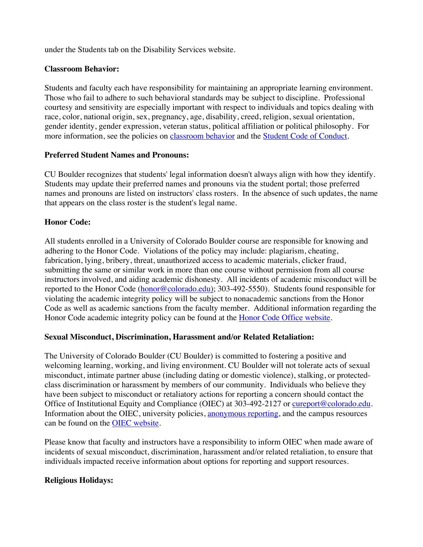under the Students tab on the Disability Services website.

### **Classroom Behavior:**

Students and faculty each have responsibility for maintaining an appropriate learning environment. Those who fail to adhere to such behavioral standards may be subject to discipline. Professional courtesy and sensitivity are especially important with respect to individuals and topics dealing with race, color, national origin, sex, pregnancy, age, disability, creed, religion, sexual orientation, gender identity, gender expression, veteran status, political affiliation or political philosophy. For more information, see the policies on classroom behavior and the Student Code of Conduct.

### **Preferred Student Names and Pronouns:**

CU Boulder recognizes that students' legal information doesn't always align with how they identify. Students may update their preferred names and pronouns via the student portal; those preferred names and pronouns are listed on instructors' class rosters. In the absence of such updates, the name that appears on the class roster is the student's legal name.

# **Honor Code:**

All students enrolled in a University of Colorado Boulder course are responsible for knowing and adhering to the Honor Code. Violations of the policy may include: plagiarism, cheating, fabrication, lying, bribery, threat, unauthorized access to academic materials, clicker fraud, submitting the same or similar work in more than one course without permission from all course instructors involved, and aiding academic dishonesty. All incidents of academic misconduct will be reported to the Honor Code (honor@colorado.edu); 303-492-5550). Students found responsible for violating the academic integrity policy will be subject to nonacademic sanctions from the Honor Code as well as academic sanctions from the faculty member. Additional information regarding the Honor Code academic integrity policy can be found at the Honor Code Office website.

# **Sexual Misconduct, Discrimination, Harassment and/or Related Retaliation:**

The University of Colorado Boulder (CU Boulder) is committed to fostering a positive and welcoming learning, working, and living environment. CU Boulder will not tolerate acts of sexual misconduct, intimate partner abuse (including dating or domestic violence), stalking, or protectedclass discrimination or harassment by members of our community. Individuals who believe they have been subject to misconduct or retaliatory actions for reporting a concern should contact the Office of Institutional Equity and Compliance (OIEC) at 303-492-2127 or cureport@colorado.edu. Information about the OIEC, university policies, anonymous reporting, and the campus resources can be found on the OIEC website.

Please know that faculty and instructors have a responsibility to inform OIEC when made aware of incidents of sexual misconduct, discrimination, harassment and/or related retaliation, to ensure that individuals impacted receive information about options for reporting and support resources.

# **Religious Holidays:**